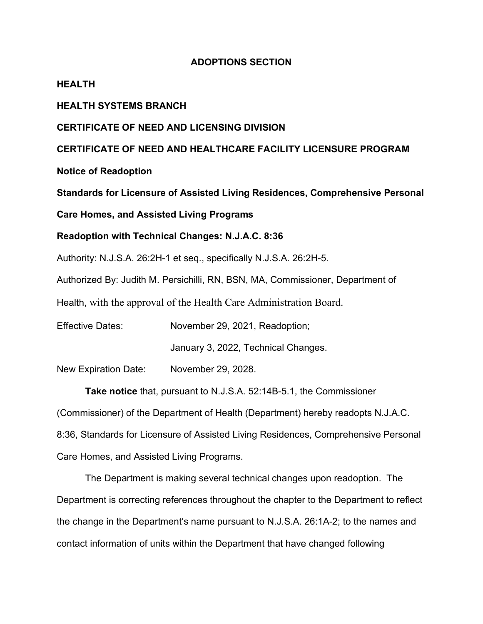## **ADOPTIONS SECTION**

### **HEALTH**

## **HEALTH SYSTEMS BRANCH**

#### **CERTIFICATE OF NEED AND LICENSING DIVISION**

### **CERTIFICATE OF NEED AND HEALTHCARE FACILITY LICENSURE PROGRAM**

**Notice of Readoption**

**Standards for Licensure of Assisted Living Residences, Comprehensive Personal** 

**Care Homes, and Assisted Living Programs**

#### **Readoption with Technical Changes: N.J.A.C. 8:36**

Authority: N.J.S.A. 26:2H-1 et seq., specifically N.J.S.A. 26:2H-5.

Authorized By: Judith M. Persichilli, RN, BSN, MA, Commissioner, Department of

Health, with the approval of the Health Care Administration Board.

Effective Dates: November 29, 2021, Readoption; January 3, 2022, Technical Changes.

New Expiration Date: November 29, 2028.

**Take notice** that, pursuant to N.J.S.A. 52:14B-5.1, the Commissioner (Commissioner) of the Department of Health (Department) hereby readopts N.J.A.C. 8:36, Standards for Licensure of Assisted Living Residences, Comprehensive Personal Care Homes, and Assisted Living Programs.

The Department is making several technical changes upon readoption. The Department is correcting references throughout the chapter to the Department to reflect the change in the Department's name pursuant to [N.J.S.A. 26:1A-2;](https://advance.lexis.com/api/document?collection=statutes-legislation&id=urn:contentItem:5F0Y-C1R1-6F13-00JD-00000-00&context=1000516) to the names and contact information of units within the Department that have changed following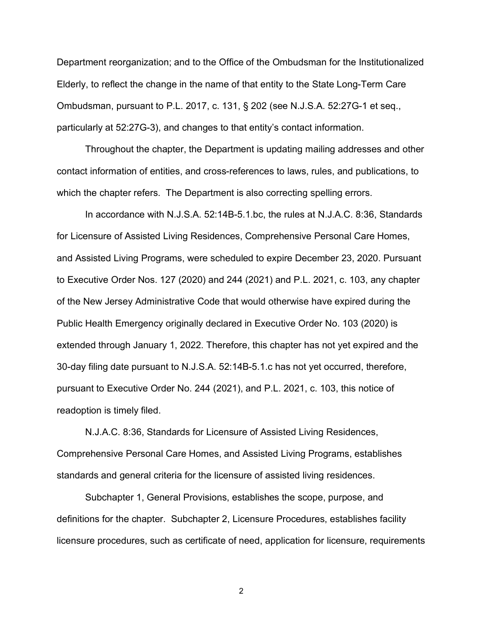Department reorganization; and to the Office of the Ombudsman for the Institutionalized Elderly, to reflect the change in the name of that entity to the State Long-Term Care Ombudsman, pursuant to P.L. 2017, c. 131, § 202 (see [N.J.S.A. 52:27G-1](https://advance.lexis.com/api/document?collection=statutes-legislation&id=urn:contentItem:5F0Y-CF01-6F13-0016-00000-00&context=1000516) et seq., particularly at 52:27G-3), and changes to that entity's contact information.

Throughout the chapter, the Department is updating mailing addresses and other contact information of entities, and cross-references to laws, rules, and publications, to which the chapter refers. The Department is also correcting spelling errors.

In accordance with N.J.S.A. 52:14B-5.1.bc, the rules at N.J.A.C. 8:36, Standards for Licensure of Assisted Living Residences, Comprehensive Personal Care Homes, and Assisted Living Programs, were scheduled to expire December 23, 2020. Pursuant to Executive Order Nos. 127 (2020) and 244 (2021) and P.L. 2021, c. 103, any chapter of the New Jersey Administrative Code that would otherwise have expired during the Public Health Emergency originally declared in Executive Order No. 103 (2020) is extended through January 1, 2022. Therefore, this chapter has not yet expired and the 30-day filing date pursuant to N.J.S.A. 52:14B-5.1.c has not yet occurred, therefore, pursuant to Executive Order No. 244 (2021), and P.L. 2021, c. 103, this notice of readoption is timely filed.

N.J.A.C. 8:36, Standards for Licensure of Assisted Living Residences, Comprehensive Personal Care Homes, and Assisted Living Programs, establishes standards and general criteria for the licensure of assisted living residences.

Subchapter 1, General Provisions, establishes the scope, purpose, and definitions for the chapter. Subchapter 2, Licensure Procedures, establishes facility licensure procedures, such as certificate of need, application for licensure, requirements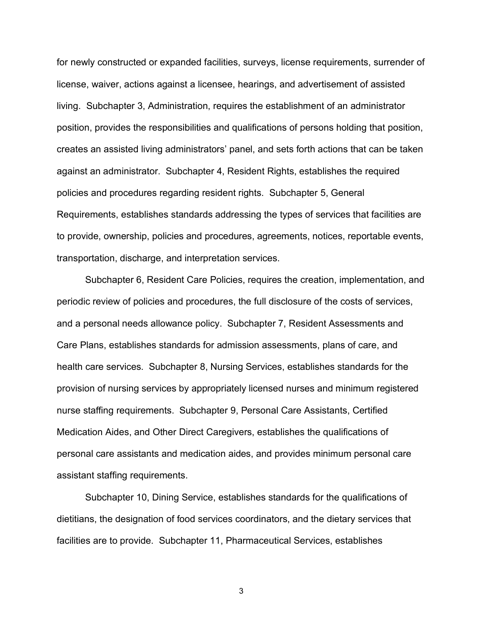for newly constructed or expanded facilities, surveys, license requirements, surrender of license, waiver, actions against a licensee, hearings, and advertisement of assisted living. Subchapter 3, Administration, requires the establishment of an administrator position, provides the responsibilities and qualifications of persons holding that position, creates an assisted living administrators' panel, and sets forth actions that can be taken against an administrator. Subchapter 4, Resident Rights, establishes the required policies and procedures regarding resident rights. Subchapter 5, General Requirements, establishes standards addressing the types of services that facilities are to provide, ownership, policies and procedures, agreements, notices, reportable events, transportation, discharge, and interpretation services.

Subchapter 6, Resident Care Policies, requires the creation, implementation, and periodic review of policies and procedures, the full disclosure of the costs of services, and a personal needs allowance policy. Subchapter 7, Resident Assessments and Care Plans, establishes standards for admission assessments, plans of care, and health care services. Subchapter 8, Nursing Services, establishes standards for the provision of nursing services by appropriately licensed nurses and minimum registered nurse staffing requirements. Subchapter 9, Personal Care Assistants, Certified Medication Aides, and Other Direct Caregivers, establishes the qualifications of personal care assistants and medication aides, and provides minimum personal care assistant staffing requirements.

Subchapter 10, Dining Service, establishes standards for the qualifications of dietitians, the designation of food services coordinators, and the dietary services that facilities are to provide. Subchapter 11, Pharmaceutical Services, establishes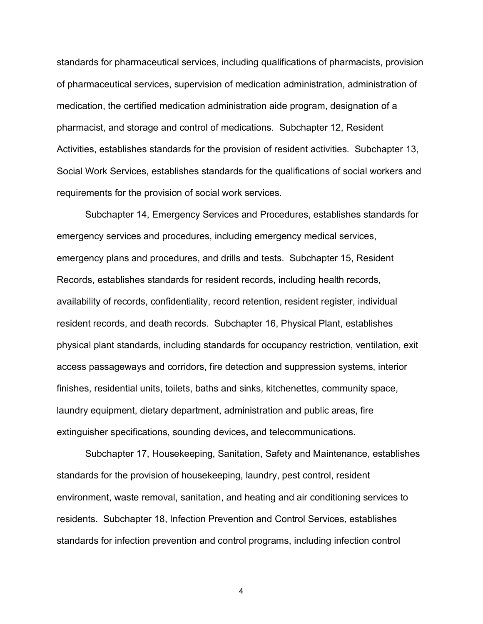standards for pharmaceutical services, including qualifications of pharmacists, provision of pharmaceutical services, supervision of medication administration, administration of medication, the certified medication administration aide program, designation of a pharmacist, and storage and control of medications. Subchapter 12, Resident Activities, establishes standards for the provision of resident activities. Subchapter 13, Social Work Services, establishes standards for the qualifications of social workers and requirements for the provision of social work services.

Subchapter 14, Emergency Services and Procedures, establishes standards for emergency services and procedures, including emergency medical services, emergency plans and procedures, and drills and tests. Subchapter 15, Resident Records, establishes standards for resident records, including health records, availability of records, confidentiality, record retention, resident register, individual resident records, and death records. Subchapter 16, Physical Plant, establishes physical plant standards, including standards for occupancy restriction, ventilation, exit access passageways and corridors, fire detection and suppression systems, interior finishes, residential units, toilets, baths and sinks, kitchenettes, community space, laundry equipment, dietary department, administration and public areas, fire extinguisher specifications, sounding devices**,** and telecommunications.

Subchapter 17, Housekeeping, Sanitation, Safety and Maintenance, establishes standards for the provision of housekeeping, laundry, pest control, resident environment, waste removal, sanitation, and heating and air conditioning services to residents. Subchapter 18, Infection Prevention and Control Services, establishes standards for infection prevention and control programs, including infection control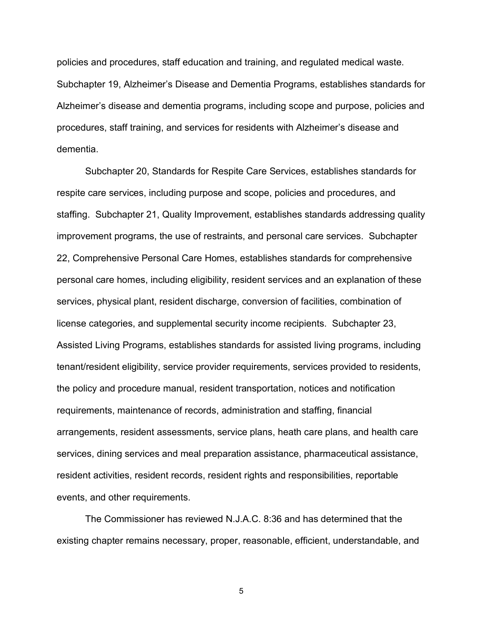policies and procedures, staff education and training, and regulated medical waste. Subchapter 19, Alzheimer's Disease and Dementia Programs, establishes standards for Alzheimer's disease and dementia programs, including scope and purpose, policies and procedures, staff training, and services for residents with Alzheimer's disease and dementia.

Subchapter 20, Standards for Respite Care Services, establishes standards for respite care services, including purpose and scope, policies and procedures, and staffing. Subchapter 21, Quality Improvement, establishes standards addressing quality improvement programs, the use of restraints, and personal care services. Subchapter 22, Comprehensive Personal Care Homes, establishes standards for comprehensive personal care homes, including eligibility, resident services and an explanation of these services, physical plant, resident discharge, conversion of facilities, combination of license categories, and supplemental security income recipients. Subchapter 23, Assisted Living Programs, establishes standards for assisted living programs, including tenant/resident eligibility, service provider requirements, services provided to residents, the policy and procedure manual, resident transportation, notices and notification requirements, maintenance of records, administration and staffing, financial arrangements, resident assessments, service plans, heath care plans, and health care services, dining services and meal preparation assistance, pharmaceutical assistance, resident activities, resident records, resident rights and responsibilities, reportable events, and other requirements.

The Commissioner has reviewed N.J.A.C. 8:36 and has determined that the existing chapter remains necessary, proper, reasonable, efficient, understandable, and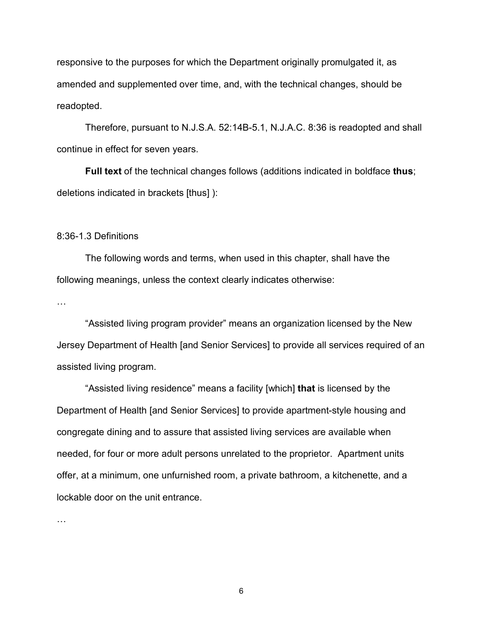responsive to the purposes for which the Department originally promulgated it, as amended and supplemented over time, and, with the technical changes, should be readopted.

Therefore, pursuant to N.J.S.A. 52:14B-5.1, N.J.A.C. 8:36 is readopted and shall continue in effect for seven years.

**Full text** of the technical changes follows (additions indicated in boldface **thus**; deletions indicated in brackets [thus] ):

#### 8:36-1.3 Definitions

The following words and terms, when used in this chapter, shall have the following meanings, unless the context clearly indicates otherwise:

…

"Assisted living program provider" means an organization licensed by the New Jersey Department of Health [and Senior Services] to provide all services required of an assisted living program.

"Assisted living residence" means a facility [which] **that** is licensed by the Department of Health [and Senior Services] to provide apartment-style housing and congregate dining and to assure that assisted living services are available when needed, for four or more adult persons unrelated to the proprietor. Apartment units offer, at a minimum, one unfurnished room, a private bathroom, a kitchenette, and a lockable door on the unit entrance.

…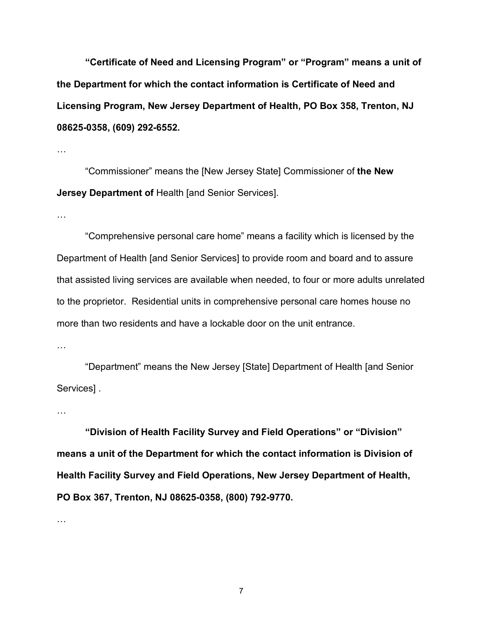**"Certificate of Need and Licensing Program" or "Program" means a unit of the Department for which the contact information is Certificate of Need and Licensing Program, New Jersey Department of Health, PO Box 358, Trenton, NJ 08625-0358, (609) 292-6552.**

…

"Commissioner" means the [New Jersey State] Commissioner of **the New Jersey Department of Health [and Senior Services].** 

…

"Comprehensive personal care home" means a facility which is licensed by the Department of Health [and Senior Services] to provide room and board and to assure that assisted living services are available when needed, to four or more adults unrelated to the proprietor. Residential units in comprehensive personal care homes house no more than two residents and have a lockable door on the unit entrance.

…

"Department" means the New Jersey [State] Department of Health [and Senior Services] .

…

**"Division of Health Facility Survey and Field Operations" or "Division" means a unit of the Department for which the contact information is Division of Health Facility Survey and Field Operations, New Jersey Department of Health, PO Box 367, Trenton, NJ 08625-0358, (800) 792-9770.**

…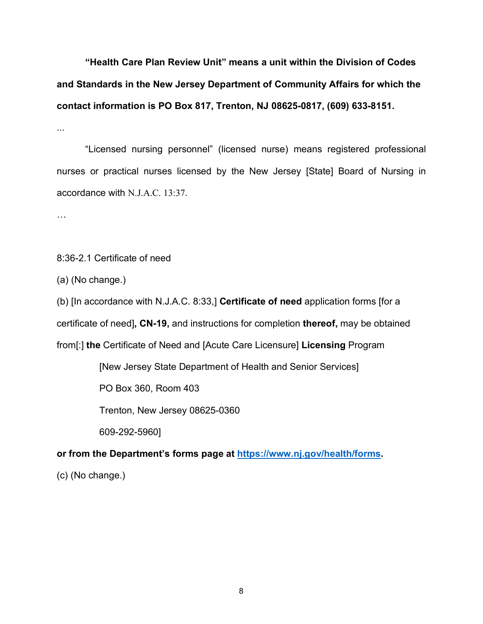**"Health Care Plan Review Unit" means a unit within the Division of Codes and Standards in the New Jersey Department of Community Affairs for which the contact information is PO Box 817, Trenton, NJ 08625-0817, (609) 633-8151.**

...

"Licensed nursing personnel" (licensed nurse) means registered professional nurses or practical nurses licensed by the New Jersey [State] Board of Nursing in accordance with N.J.A.C. 13:37.

…

8:36-2.1 Certificate of need

(a) (No change.)

(b) [In accordance with [N.J.A.C. 8:33,](https://advance.lexis.com/api/document?collection=administrative-codes&id=urn:contentItem:5XKV-PW91-F7ND-G1BN-00009-00&context=1000516)] **Certificate of need** application forms [for a certificate of need]**, CN-19,** and instructions for completion **thereof,** may be obtained from[:] **the** Certificate of Need and [Acute Care Licensure] **Licensing** Program

[New Jersey State Department of Health and Senior Services]

PO Box 360, Room 403

Trenton, New Jersey 08625-0360

609-292-5960]

**or from the Department's forms page at [https://www.nj.gov/health/forms.](https://www.nj.gov/health/forms)**

(c) (No change.)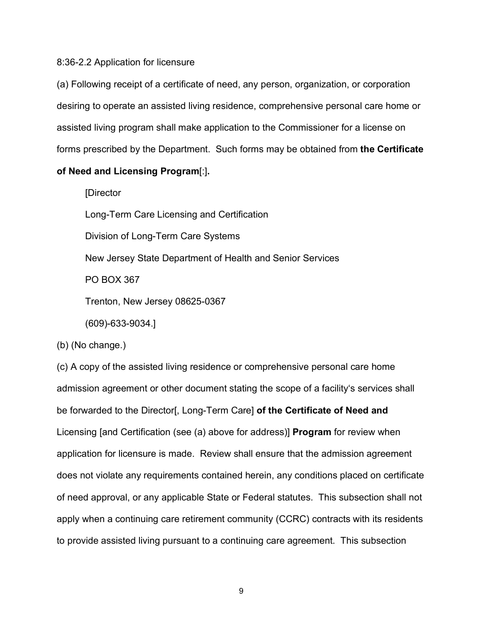#### 8:36-2.2 Application for licensure

(a) Following receipt of a certificate of need, any person, organization, or corporation desiring to operate an assisted living residence, comprehensive personal care home or assisted living program shall make application to the Commissioner for a license on forms prescribed by the Department. Such forms may be obtained from **the Certificate** 

## **of Need and Licensing Program**[:]**.**

[Director

Long-Term Care Licensing and Certification

Division of Long-Term Care Systems

New Jersey State Department of Health and Senior Services

PO BOX 367

Trenton, New Jersey 08625-0367

(609)-633-9034.]

(b) (No change.)

(c) A copy of the assisted living residence or comprehensive personal care home admission agreement or other document stating the scope of a facility's services shall be forwarded to the Director[, Long-Term Care] **of the Certificate of Need and** Licensing [and Certification (see (a) above for address)] **Program** for review when application for licensure is made. Review shall ensure that the admission agreement does not violate any requirements contained herein, any conditions placed on certificate of need approval, or any applicable State or Federal statutes. This subsection shall not apply when a continuing care retirement community (CCRC) contracts with its residents to provide assisted living pursuant to a continuing care agreement. This subsection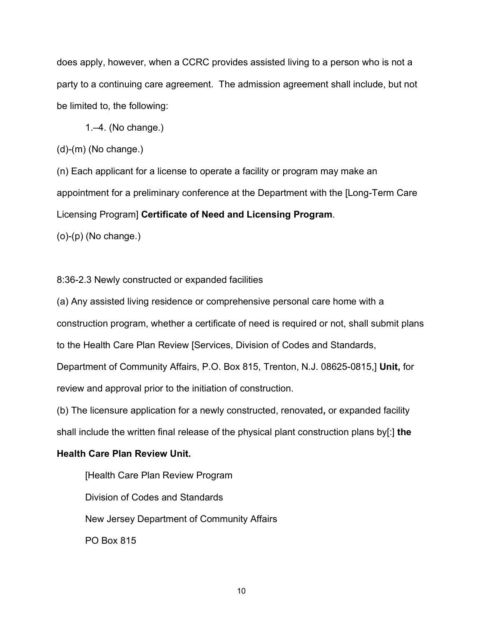does apply, however, when a CCRC provides assisted living to a person who is not a party to a continuing care agreement. The admission agreement shall include, but not be limited to, the following:

1.–4. (No change.)

(d)-(m) (No change.)

(n) Each applicant for a license to operate a facility or program may make an appointment for a preliminary conference at the Department with the [Long-Term Care Licensing Program] **Certificate of Need and Licensing Program**. (o)-(p) (No change.)

8:36-2.3 Newly constructed or expanded facilities

(a) Any assisted living residence or comprehensive personal care home with a construction program, whether a certificate of need is required or not, shall submit plans to the Health Care Plan Review [Services, Division of Codes and Standards, Department of Community Affairs, P.O. Box 815, Trenton, N.J. 08625-0815,] **Unit,** for review and approval prior to the initiation of construction.

(b) The licensure application for a newly constructed, renovated**,** or expanded facility shall include the written final release of the physical plant construction plans by[:] **the** 

## **Health Care Plan Review Unit.**

[Health Care Plan Review Program Division of Codes and Standards New Jersey Department of Community Affairs PO Box 815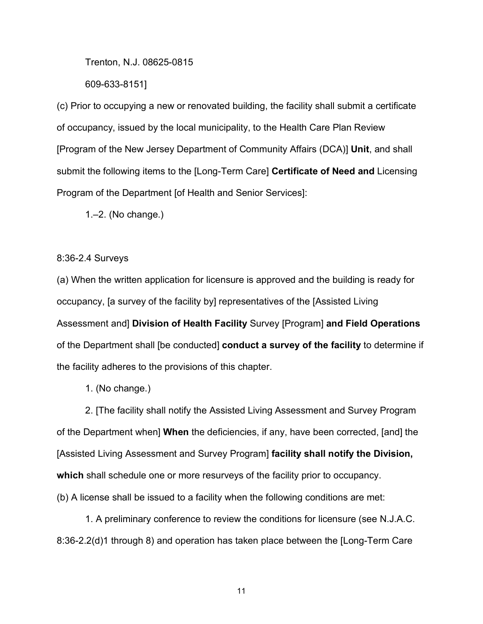Trenton, N.J. 08625-0815

609-633-8151]

(c) Prior to occupying a new or renovated building, the facility shall submit a certificate of occupancy, issued by the local municipality, to the Health Care Plan Review [Program of the New Jersey Department of Community Affairs (DCA)] **Unit**, and shall submit the following items to the [Long-Term Care] **Certificate of Need and** Licensing Program of the Department [of Health and Senior Services]:

1.–2. (No change.)

#### 8:36-2.4 Surveys

(a) When the written application for licensure is approved and the building is ready for occupancy, [a survey of the facility by] representatives of the [Assisted Living Assessment and] **Division of Health Facility** Survey [Program] **and Field Operations** of the Department shall [be conducted] **conduct a survey of the facility** to determine if the facility adheres to the provisions of this chapter.

1. (No change.)

2. [The facility shall notify the Assisted Living Assessment and Survey Program of the Department when] **When** the deficiencies, if any, have been corrected, [and] the [Assisted Living Assessment and Survey Program] **facility shall notify the Division, which** shall schedule one or more resurveys of the facility prior to occupancy.

(b) A license shall be issued to a facility when the following conditions are met:

1. A preliminary conference to review the conditions for licensure (see [N.J.A.C.](https://advance.lexis.com/api/document?collection=administrative-codes&id=urn:contentItem:5XKV-PW71-JS0R-211T-00009-00&context=1000516)  [8:36-2.2\(d\)1](https://advance.lexis.com/api/document?collection=administrative-codes&id=urn:contentItem:5XKV-PW71-JS0R-211T-00009-00&context=1000516) through 8) and operation has taken place between the [Long-Term Care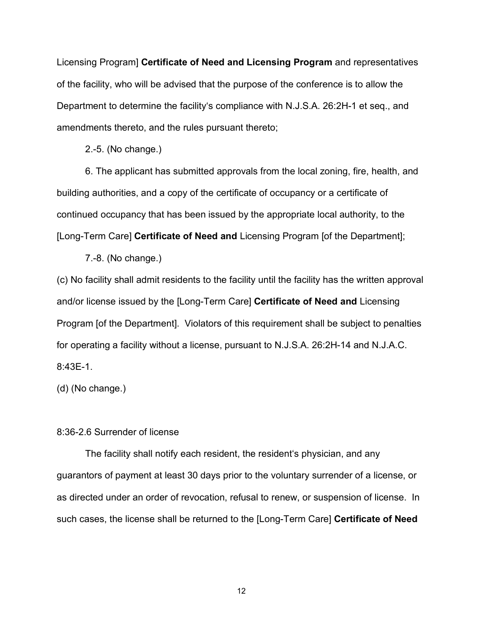Licensing Program] **Certificate of Need and Licensing Program** and representatives of the facility, who will be advised that the purpose of the conference is to allow the Department to determine the facility's compliance with [N.J.S.A. 26:2H-1](https://advance.lexis.com/api/document?collection=statutes-legislation&id=urn:contentItem:8R0P-FVV2-D6RV-H2RX-00000-00&context=1000516) et seq., and amendments thereto, and the rules pursuant thereto;

2.-5. (No change.)

6. The applicant has submitted approvals from the local zoning, fire, health, and building authorities, and a copy of the certificate of occupancy or a certificate of continued occupancy that has been issued by the appropriate local authority, to the [Long-Term Care] **Certificate of Need and** Licensing Program [of the Department];

7.-8. (No change.)

(c) No facility shall admit residents to the facility until the facility has the written approval and/or license issued by the [Long-Term Care] **Certificate of Need and** Licensing Program [of the Department]. Violators of this requirement shall be subject to penalties for operating a facility without a license, pursuant to [N.J.S.A. 26:2H-14](https://advance.lexis.com/api/document?collection=statutes-legislation&id=urn:contentItem:5F0Y-C1S1-6F13-00FJ-00000-00&context=1000516) and N.J.A.C. 8:43E-1.

(d) (No change.)

#### 8:36-2.6 Surrender of license

The facility shall notify each resident, the resident's physician, and any guarantors of payment at least 30 days prior to the voluntary surrender of a license, or as directed under an order of revocation, refusal to renew, or suspension of license. In such cases, the license shall be returned to the [Long-Term Care] **Certificate of Need**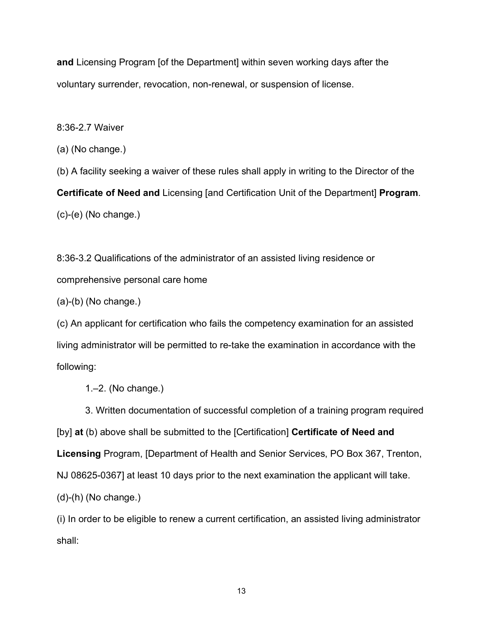**and** Licensing Program [of the Department] within seven working days after the voluntary surrender, revocation, non-renewal, or suspension of license.

8:36-2.7 Waiver

(a) (No change.)

(b) A facility seeking a waiver of these rules shall apply in writing to the Director of the **Certificate of Need and** Licensing [and Certification Unit of the Department] **Program**. (c)-(e) (No change.)

8:36-3.2 Qualifications of the administrator of an assisted living residence or comprehensive personal care home

(a)-(b) (No change.)

(c) An applicant for certification who fails the competency examination for an assisted living administrator will be permitted to re-take the examination in accordance with the following:

1 $-2$ . (No change.)

3. Written documentation of successful completion of a training program required [by] **at** (b) above shall be submitted to the [Certification] **Certificate of Need and Licensing** Program, [Department of Health and Senior Services, PO Box 367, Trenton, NJ 08625-0367] at least 10 days prior to the next examination the applicant will take. (d)-(h) (No change.)

(i) In order to be eligible to renew a current certification, an assisted living administrator shall: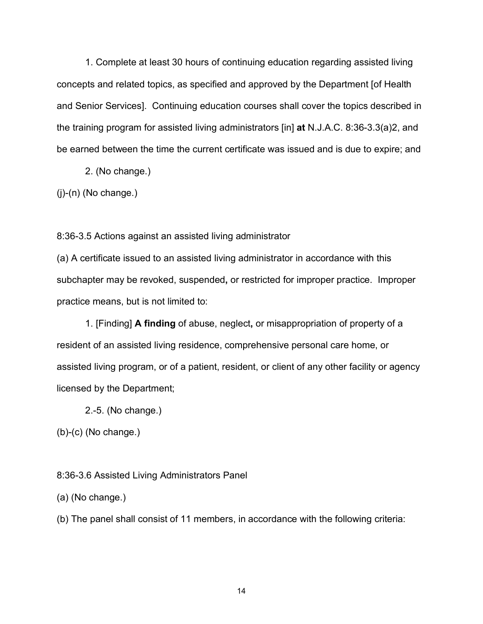1. Complete at least 30 hours of continuing education regarding assisted living concepts and related topics, as specified and approved by the Department [of Health and Senior Services]. Continuing education courses shall cover the topics described in the training program for assisted living administrators [in] **at** [N.J.A.C. 8:36-3.3\(a\)2](https://advance.lexis.com/api/document?collection=administrative-codes&id=urn:contentItem:5XKV-PWF1-F4W2-61VV-00009-00&context=1000516), and be earned between the time the current certificate was issued and is due to expire; and

2. (No change.)

 $(i)-(n)$  (No change.)

8:36-3.5 Actions against an assisted living administrator

(a) A certificate issued to an assisted living administrator in accordance with this subchapter may be revoked, suspended**,** or restricted for improper practice. Improper practice means, but is not limited to:

1. [Finding] **A finding** of abuse, neglect**,** or misappropriation of property of a resident of an assisted living residence, comprehensive personal care home, or assisted living program, or of a patient, resident, or client of any other facility or agency licensed by the Department;

2.-5. (No change.)

(b)-(c) (No change.)

8:36-3.6 Assisted Living Administrators Panel

(a) (No change.)

(b) The panel shall consist of 11 members, in accordance with the following criteria: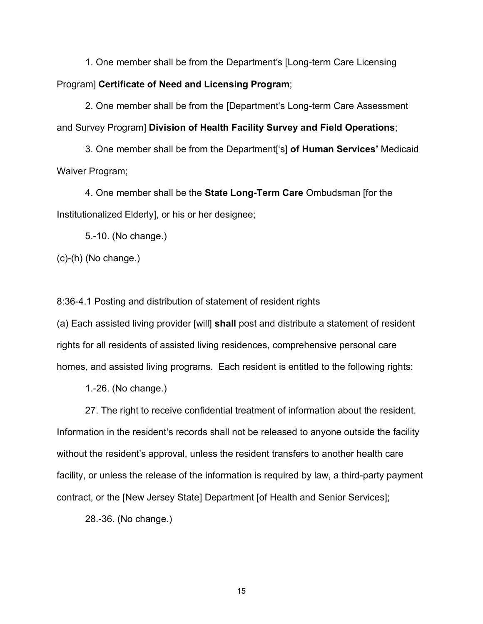1. One member shall be from the Department's [Long-term Care Licensing Program] **Certificate of Need and Licensing Program**;

2. One member shall be from the [Department's Long-term Care Assessment and Survey Program] **Division of Health Facility Survey and Field Operations**;

3. One member shall be from the Department['s] **of Human Services'** Medicaid Waiver Program;

4. One member shall be the **State Long-Term Care** Ombudsman [for the Institutionalized Elderly], or his or her designee;

5.-10. (No change.)

(c)-(h) (No change.)

8:36-4.1 Posting and distribution of statement of resident rights

(a) Each assisted living provider [will] **shall** post and distribute a statement of resident rights for all residents of assisted living residences, comprehensive personal care homes, and assisted living programs. Each resident is entitled to the following rights:

1.-26. (No change.)

27. The right to receive confidential treatment of information about the resident. Information in the resident's records shall not be released to anyone outside the facility without the resident's approval, unless the resident transfers to another health care facility, or unless the release of the information is required by law, a third-party payment contract, or the [New Jersey State] Department [of Health and Senior Services];

28.-36. (No change.)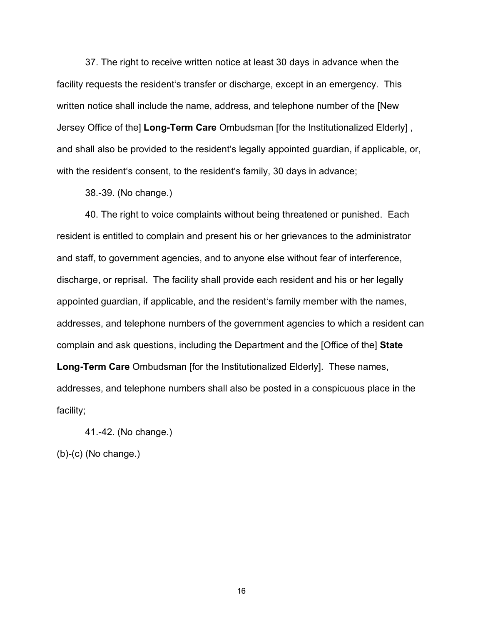37. The right to receive written notice at least 30 days in advance when the facility requests the resident's transfer or discharge, except in an emergency. This written notice shall include the name, address, and telephone number of the [New Jersey Office of the] **Long-Term Care** Ombudsman [for the Institutionalized Elderly] , and shall also be provided to the resident's legally appointed guardian, if applicable, or, with the resident's consent, to the resident's family, 30 days in advance;

38.-39. (No change.)

40. The right to voice complaints without being threatened or punished. Each resident is entitled to complain and present his or her grievances to the administrator and staff, to government agencies, and to anyone else without fear of interference, discharge, or reprisal. The facility shall provide each resident and his or her legally appointed guardian, if applicable, and the resident's family member with the names, addresses, and telephone numbers of the government agencies to which a resident can complain and ask questions, including the Department and the [Office of the] **State Long-Term Care** Ombudsman [for the Institutionalized Elderly]. These names, addresses, and telephone numbers shall also be posted in a conspicuous place in the

41.-42. (No change.)

(b)-(c) (No change.)

facility;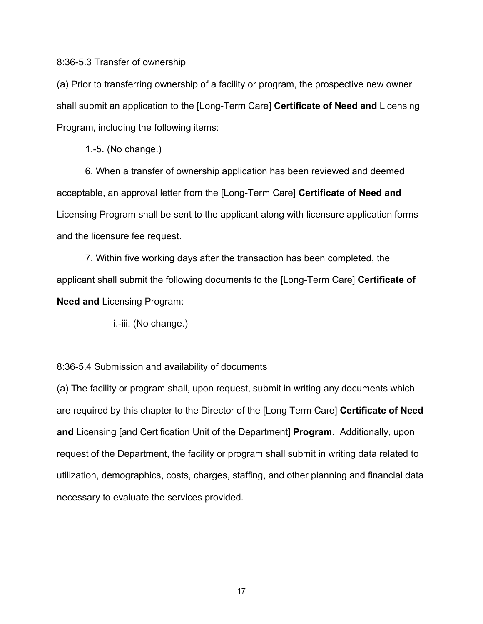#### 8:36-5.3 Transfer of ownership

(a) Prior to transferring ownership of a facility or program, the prospective new owner shall submit an application to the [Long-Term Care] **Certificate of Need and** Licensing Program, including the following items:

1.-5. (No change.)

6. When a transfer of ownership application has been reviewed and deemed acceptable, an approval letter from the [Long-Term Care] **Certificate of Need and**  Licensing Program shall be sent to the applicant along with licensure application forms and the licensure fee request.

7. Within five working days after the transaction has been completed, the applicant shall submit the following documents to the [Long-Term Care] **Certificate of Need and** Licensing Program:

i.-iii. (No change.)

8:36-5.4 Submission and availability of documents

(a) The facility or program shall, upon request, submit in writing any documents which are required by this chapter to the Director of the [Long Term Care] **Certificate of Need and** Licensing [and Certification Unit of the Department] **Program**. Additionally, upon request of the Department, the facility or program shall submit in writing data related to utilization, demographics, costs, charges, staffing, and other planning and financial data necessary to evaluate the services provided.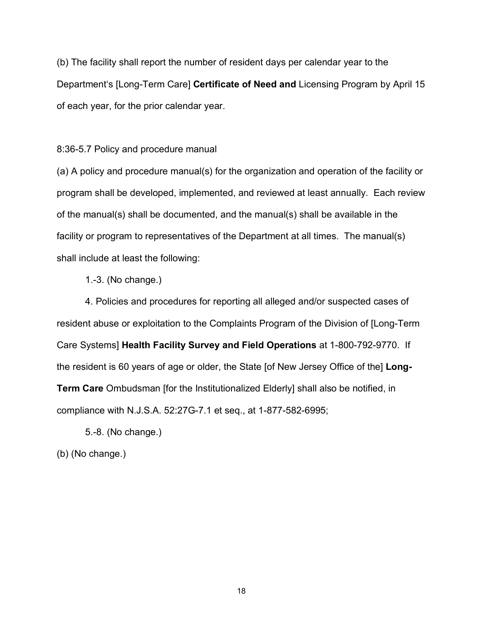(b) The facility shall report the number of resident days per calendar year to the Department's [Long-Term Care] **Certificate of Need and** Licensing Program by April 15 of each year, for the prior calendar year.

8:36-5.7 Policy and procedure manual

(a) A policy and procedure manual(s) for the organization and operation of the facility or program shall be developed, implemented, and reviewed at least annually. Each review of the manual(s) shall be documented, and the manual(s) shall be available in the facility or program to representatives of the Department at all times. The manual(s) shall include at least the following:

1.-3. (No change.)

4. Policies and procedures for reporting all alleged and/or suspected cases of resident abuse or exploitation to the Complaints Program of the Division of [Long-Term Care Systems] **Health Facility Survey and Field Operations** at 1-800-792-9770. If the resident is 60 years of age or older, the State [of New Jersey Office of the] **Long-Term Care** Ombudsman [for the Institutionalized Elderly] shall also be notified, in compliance with [N.J.S.A. 52:27G-7.1](https://advance.lexis.com/api/document?collection=statutes-legislation&id=urn:contentItem:8NV2-MGJ2-D6RV-H55H-00000-00&context=1000516) et seq., at 1-877-582-6995;

5.-8. (No change.)

(b) (No change.)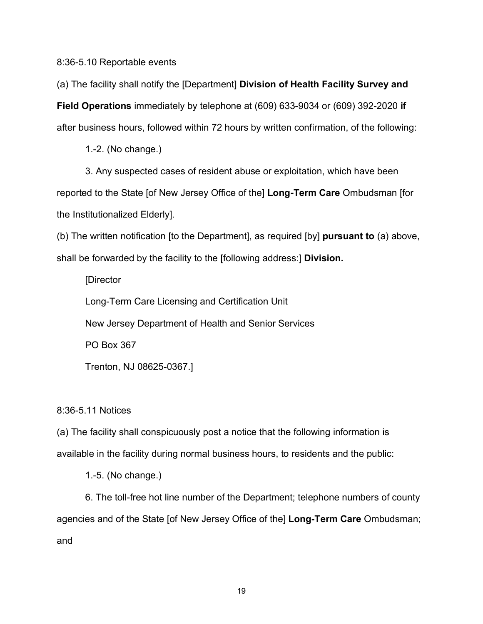8:36-5.10 Reportable events

(a) The facility shall notify the [Department] **Division of Health Facility Survey and Field Operations** immediately by telephone at (609) 633-9034 or (609) 392-2020 **if**  after business hours, followed within 72 hours by written confirmation, of the following:

1.-2. (No change.)

3. Any suspected cases of resident abuse or exploitation, which have been reported to the State [of New Jersey Office of the] **Long-Term Care** Ombudsman [for the Institutionalized Elderly].

(b) The written notification [to the Department], as required [by] **pursuant to** (a) above, shall be forwarded by the facility to the [following address:] **Division.**

[Director

Long-Term Care Licensing and Certification Unit

New Jersey Department of Health and Senior Services

PO Box 367

Trenton, NJ 08625-0367.]

8:36-5.11 Notices

(a) The facility shall conspicuously post a notice that the following information is available in the facility during normal business hours, to residents and the public:

1.-5. (No change.)

6. The toll-free hot line number of the Department; telephone numbers of county agencies and of the State [of New Jersey Office of the] **Long-Term Care** Ombudsman; and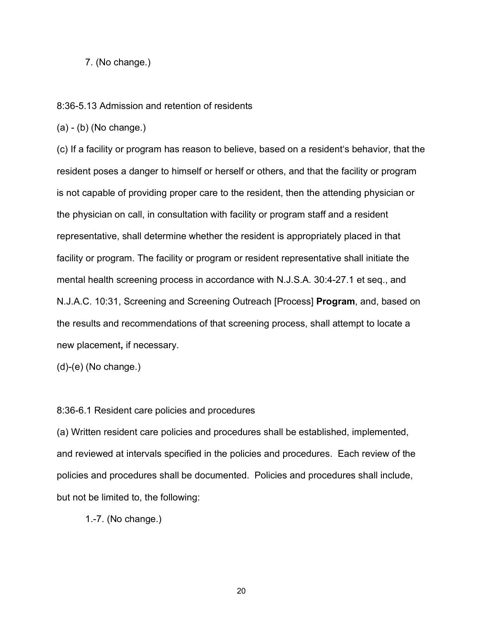7. (No change.)

8:36-5.13 Admission and retention of residents

(a) - (b) (No change.)

(c) If a facility or program has reason to believe, based on a resident's behavior, that the resident poses a danger to himself or herself or others, and that the facility or program is not capable of providing proper care to the resident, then the attending physician or the physician on call, in consultation with facility or program staff and a resident representative, shall determine whether the resident is appropriately placed in that facility or program. The facility or program or resident representative shall initiate the mental health screening process in accordance with [N.J.S.A. 30:4-27.1](https://advance.lexis.com/api/document?collection=statutes-legislation&id=urn:contentItem:5F0Y-C321-6F13-04FX-00000-00&context=1000516) et seq., and [N.J.A.C. 10:31,](https://advance.lexis.com/api/document?collection=administrative-codes&id=urn:contentItem:5XKV-PW41-JNY7-X51G-00009-00&context=1000516) Screening and Screening Outreach [Process] **Program**, and, based on the results and recommendations of that screening process, shall attempt to locate a new placement**,** if necessary.

(d)-(e) (No change.)

#### 8:36-6.1 Resident care policies and procedures

(a) Written resident care policies and procedures shall be established, implemented, and reviewed at intervals specified in the policies and procedures. Each review of the policies and procedures shall be documented. Policies and procedures shall include, but not be limited to, the following:

1.-7. (No change.)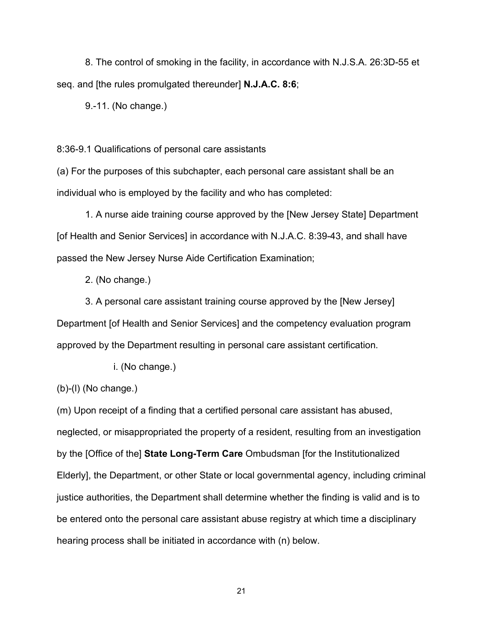8. The control of smoking in the facility, in accordance with [N.J.S.A. 26:3D-55](https://advance.lexis.com/api/document?collection=statutes-legislation&id=urn:contentItem:5F0Y-C1T1-6F13-008V-00000-00&context=1000516) et seq. and [the rules promulgated thereunder] **N.J.A.C. 8:6**;

9.-11. (No change.)

8:36-9.1 Qualifications of personal care assistants

(a) For the purposes of this subchapter, each personal care assistant shall be an individual who is employed by the facility and who has completed:

1. A nurse aide training course approved by the [New Jersey State] Department [of Health and Senior Services] in accordance with N.J.A.C. 8:39-43, and shall have passed the New Jersey Nurse Aide Certification Examination;

2. (No change.)

3. A personal care assistant training course approved by the [New Jersey] Department [of Health and Senior Services] and the competency evaluation program approved by the Department resulting in personal care assistant certification.

i. (No change.)

(b)-(l) (No change.)

(m) Upon receipt of a finding that a certified personal care assistant has abused, neglected, or misappropriated the property of a resident, resulting from an investigation by the [Office of the] **State Long-Term Care** Ombudsman [for the Institutionalized Elderly], the Department, or other State or local governmental agency, including criminal justice authorities, the Department shall determine whether the finding is valid and is to be entered onto the personal care assistant abuse registry at which time a disciplinary hearing process shall be initiated in accordance with (n) below.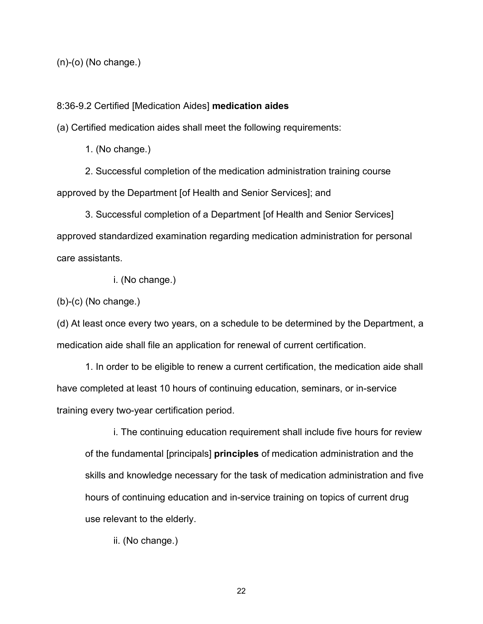(n)-(o) (No change.)

#### 8:36-9.2 Certified [Medication Aides] **medication aides**

(a) Certified medication aides shall meet the following requirements:

1. (No change.)

2. Successful completion of the medication administration training course approved by the Department [of Health and Senior Services]; and

3. Successful completion of a Department [of Health and Senior Services] approved standardized examination regarding medication administration for personal care assistants.

i. (No change.)

(b)-(c) (No change.)

(d) At least once every two years, on a schedule to be determined by the Department, a medication aide shall file an application for renewal of current certification.

1. In order to be eligible to renew a current certification, the medication aide shall have completed at least 10 hours of continuing education, seminars, or in-service training every two-year certification period.

i. The continuing education requirement shall include five hours for review of the fundamental [principals] **principles** of medication administration and the skills and knowledge necessary for the task of medication administration and five hours of continuing education and in-service training on topics of current drug use relevant to the elderly.

ii. (No change.)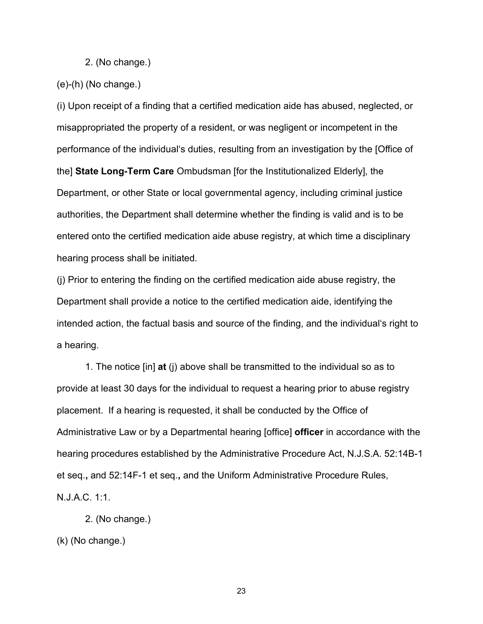2. (No change.)

#### (e)-(h) (No change.)

(i) Upon receipt of a finding that a certified medication aide has abused, neglected, or misappropriated the property of a resident, or was negligent or incompetent in the performance of the individual's duties, resulting from an investigation by the [Office of the] **State Long-Term Care** Ombudsman [for the Institutionalized Elderly], the Department, or other State or local governmental agency, including criminal justice authorities, the Department shall determine whether the finding is valid and is to be entered onto the certified medication aide abuse registry, at which time a disciplinary hearing process shall be initiated.

(j) Prior to entering the finding on the certified medication aide abuse registry, the Department shall provide a notice to the certified medication aide, identifying the intended action, the factual basis and source of the finding, and the individual's right to a hearing.

1. The notice [in] **at** (j) above shall be transmitted to the individual so as to provide at least 30 days for the individual to request a hearing prior to abuse registry placement. If a hearing is requested, it shall be conducted by the Office of Administrative Law or by a Departmental hearing [office] **officer** in accordance with the hearing procedures established by the Administrative Procedure Act, [N.J.S.A. 52:14B-1](https://advance.lexis.com/api/document?collection=statutes-legislation&id=urn:contentItem:5F0Y-CDW1-6F13-007R-00000-00&context=1000516) et seq.**,** and [52:14F-1](https://advance.lexis.com/api/document?collection=statutes-legislation&id=urn:contentItem:5F0Y-CDW1-6F13-00CF-00000-00&context=1000516) et seq.**,** and the Uniform Administrative Procedure Rules, [N.J.A.C. 1:1.](https://advance.lexis.com/api/document?collection=administrative-codes&id=urn:contentItem:5XKV-PWB1-JJK6-S3CC-00009-00&context=1000516)

```
2. (No change.)
```

```
(k) (No change.)
```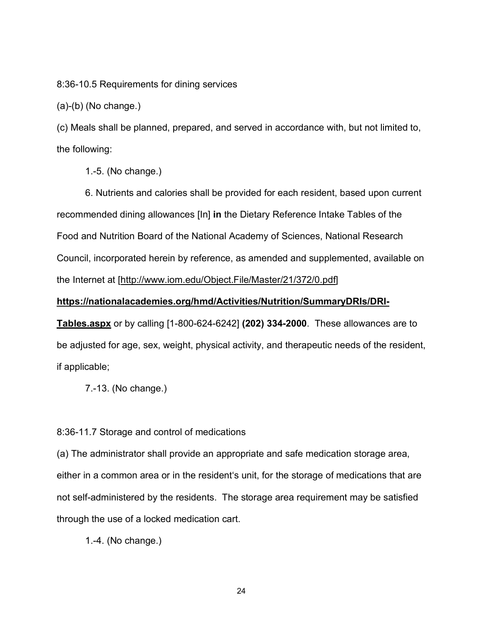8:36-10.5 Requirements for dining services

 $(a)-(b)$  (No change.)

(c) Meals shall be planned, prepared, and served in accordance with, but not limited to, the following:

1.-5. (No change.)

6. Nutrients and calories shall be provided for each resident, based upon current recommended dining allowances [In] **in** the Dietary Reference Intake Tables of the Food and Nutrition Board of the National Academy of Sciences, National Research Council, incorporated herein by reference, as amended and supplemented, available on the Internet at [\[http://www.iom.edu/Object.File/Master/21/372/0.pdf\]](http://www.iom.edu/Object.File/Master/21/372/0.pdf)

#### **https://nationalacademies.org/hmd/Activities/Nutrition/SummaryDRIs/DRI-**

**Tables.aspx** or by calling [1-800-624-6242] **(202) 334-2000**. These allowances are to be adjusted for age, sex, weight, physical activity, and therapeutic needs of the resident, if applicable;

7.-13. (No change.)

8:36-11.7 Storage and control of medications

(a) The administrator shall provide an appropriate and safe medication storage area, either in a common area or in the resident's unit, for the storage of medications that are not self-administered by the residents. The storage area requirement may be satisfied through the use of a locked medication cart.

1.-4. (No change.)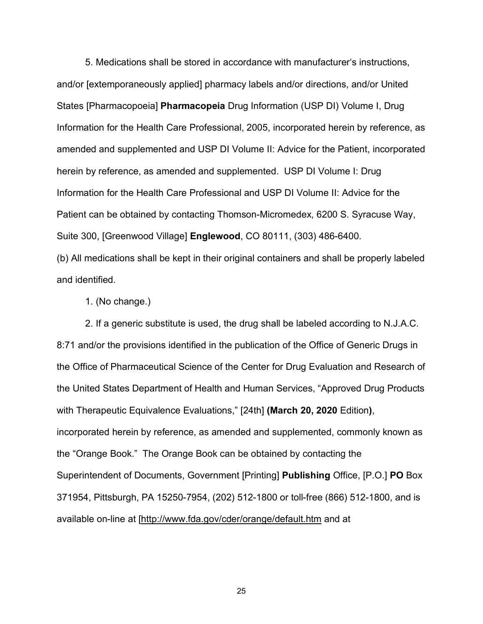5. Medications shall be stored in accordance with manufacturer's instructions, and/or [extemporaneously applied] pharmacy labels and/or directions, and/or United States [Pharmacopoeia] **Pharmacopeia** Drug Information (USP DI) Volume I, Drug Information for the Health Care Professional, 2005, incorporated herein by reference, as amended and supplemented and USP DI Volume II: Advice for the Patient, incorporated herein by reference, as amended and supplemented. USP DI Volume I: Drug Information for the Health Care Professional and USP DI Volume II: Advice for the Patient can be obtained by contacting Thomson-Micromedex, 6200 S. Syracuse Way, Suite 300, [Greenwood Village] **Englewood**, CO 80111, (303) 486-6400. (b) All medications shall be kept in their original containers and shall be properly labeled

and identified.

1. (No change.)

2. If a generic substitute is used, the drug shall be labeled according to [N.J.A.C.](https://advance.lexis.com/api/document?collection=administrative-codes&id=urn:contentItem:5XKV-PW21-F65M-63P3-00009-00&context=1000516)  [8:71](https://advance.lexis.com/api/document?collection=administrative-codes&id=urn:contentItem:5XKV-PW21-F65M-63P3-00009-00&context=1000516) and/or the provisions identified in the publication of the Office of Generic Drugs in the Office of Pharmaceutical Science of the Center for Drug Evaluation and Research of the United States Department of Health and Human Services, "Approved Drug Products with Therapeutic Equivalence Evaluations," [24th] **(March 20, 2020** Edition**)**, incorporated herein by reference, as amended and supplemented, commonly known as the "Orange Book." The Orange Book can be obtained by contacting the Superintendent of Documents, Government [Printing] **Publishing** Office, [P.O.] **PO** Box 371954, Pittsburgh, PA 15250-7954, (202) 512-1800 or toll-free (866) 512-1800, and is available on-line at [\[http://www.fda.gov/cder/orange/default.htm](http://www.fda.gov/cder/orange/default.htm) and at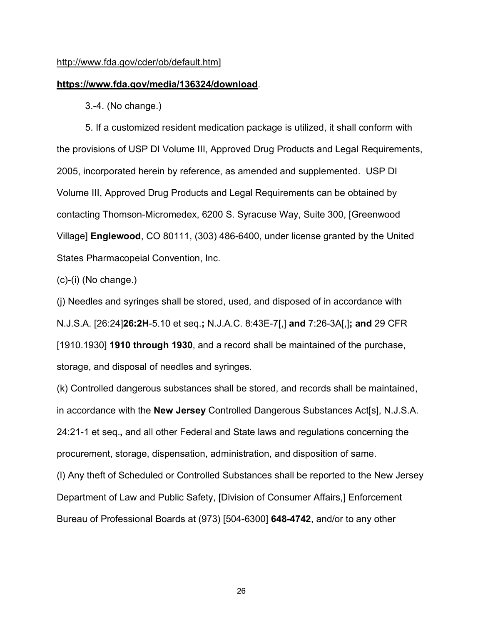#### [http://www.fda.gov/cder/ob/default.htm\]](http://www.fda.gov/cder/ob/default.htm)

#### **<https://www.fda.gov/media/136324/download>**.

3.-4. (No change.)

5. If a customized resident medication package is utilized, it shall conform with the provisions of USP DI Volume III, Approved Drug Products and Legal Requirements, 2005, incorporated herein by reference, as amended and supplemented. USP DI Volume III, Approved Drug Products and Legal Requirements can be obtained by contacting Thomson-Micromedex, 6200 S. Syracuse Way, Suite 300, [Greenwood Village] **Englewood**, CO 80111, (303) 486-6400, under license granted by the United States Pharmacopeial Convention, Inc.

(c)-(i) (No change.)

(j) Needles and syringes shall be stored, used, and disposed of in accordance with N.J.S.A. [26:24]**26:2H**-5.10 et seq.**;** N.J.A.C. 8:43E-7[,] **and** 7:26-3A[,]**; and** 29 CFR [1910.1930] **1910 through 1930**, and a record shall be maintained of the purchase, storage, and disposal of needles and syringes.

(k) Controlled dangerous substances shall be stored, and records shall be maintained, in accordance with the **New Jersey** Controlled Dangerous Substances Act[s], [N.J.S.A.](https://advance.lexis.com/api/document?collection=statutes-legislation&id=urn:contentItem:5F0Y-C161-6F13-046F-00000-00&context=1000516)  [24:21-1](https://advance.lexis.com/api/document?collection=statutes-legislation&id=urn:contentItem:5F0Y-C161-6F13-046F-00000-00&context=1000516) et seq.**,** and all other Federal and State laws and regulations concerning the procurement, storage, dispensation, administration, and disposition of same.

(l) Any theft of Scheduled or Controlled Substances shall be reported to the New Jersey Department of Law and Public Safety, [Division of Consumer Affairs,] Enforcement Bureau of Professional Boards at (973) [504-6300] **648-4742**, and/or to any other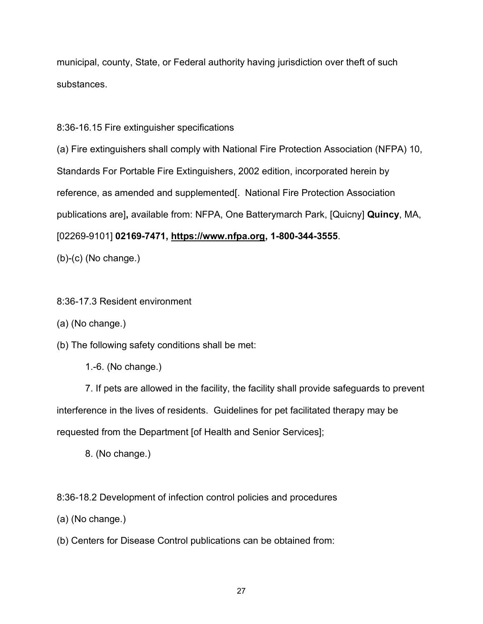municipal, county, State, or Federal authority having jurisdiction over theft of such substances.

8:36-16.15 Fire extinguisher specifications

(a) Fire extinguishers shall comply with National Fire Protection Association (NFPA) 10, Standards For Portable Fire Extinguishers, 2002 edition, incorporated herein by reference, as amended and supplemented[. National Fire Protection Association publications are]**,** available from: NFPA, One Batterymarch Park, [Quicny] **Quincy**, MA, [02269-9101] **02169-7471, [https://www.nfpa.org,](https://www.nfpa.org/) 1-800-344-3555**.

(b)-(c) (No change.)

8:36-17.3 Resident environment

(a) (No change.)

(b) The following safety conditions shall be met:

1.-6. (No change.)

7. If pets are allowed in the facility, the facility shall provide safeguards to prevent interference in the lives of residents. Guidelines for pet facilitated therapy may be requested from the Department [of Health and Senior Services];

8. (No change.)

8:36-18.2 Development of infection control policies and procedures

(a) (No change.)

(b) Centers for Disease Control publications can be obtained from: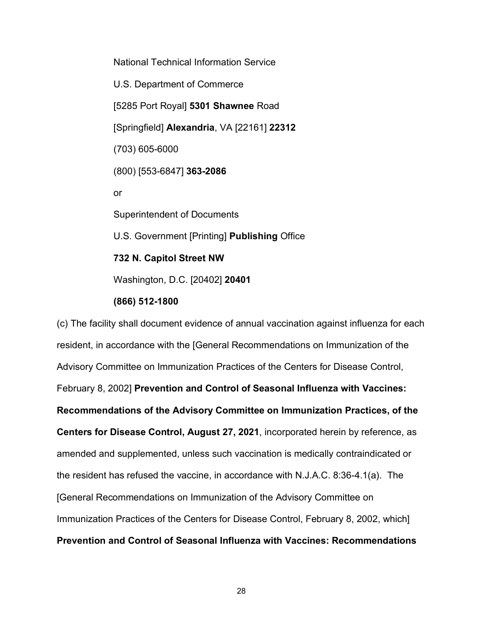National Technical Information Service U.S. Department of Commerce [5285 Port Royal] **5301 Shawnee** Road [Springfield] **Alexandria**, VA [22161] **22312** (703) 605-6000 (800) [553-6847] **363-2086** or Superintendent of Documents U.S. Government [Printing] **Publishing** Office **732 N. Capitol Street NW** Washington, D.C. [20402] **20401**

#### **(866) 512-1800**

(c) The facility shall document evidence of annual vaccination against influenza for each resident, in accordance with the [General Recommendations on Immunization of the Advisory Committee on Immunization Practices of the Centers for Disease Control, February 8, 2002] **Prevention and Control of Seasonal Influenza with Vaccines: Recommendations of the Advisory Committee on Immunization Practices, of the Centers for Disease Control, August 27, 2021**, incorporated herein by reference, as amended and supplemented, unless such vaccination is medically contraindicated or the resident has refused the vaccine, in accordance with N.J.A.C. [8:36-4.1\(a\).](https://advance.lexis.com/document/documentlink/?pdmfid=1000516&crid=e7de0aaf-dc01-4f8b-b4d6-3879c772a8a2&action=linkdoc&pdcomponentid=&pddocfullpath=%2Fshared%2Fdocument%2Fadministrative-codes%2Furn%3AcontentItem%3A5XKV-PW31-JG59-22D2-00009-00&pdtocnodeidentifier=AALACKAATAAC&ecomp=w59nk&prid=fe38eefc-9219-4f17-b4fe-f343d1cc97c3) The [General Recommendations on Immunization of the Advisory Committee on Immunization Practices of the Centers for Disease Control, February 8, 2002, which] **Prevention and Control of Seasonal Influenza with Vaccines: Recommendations**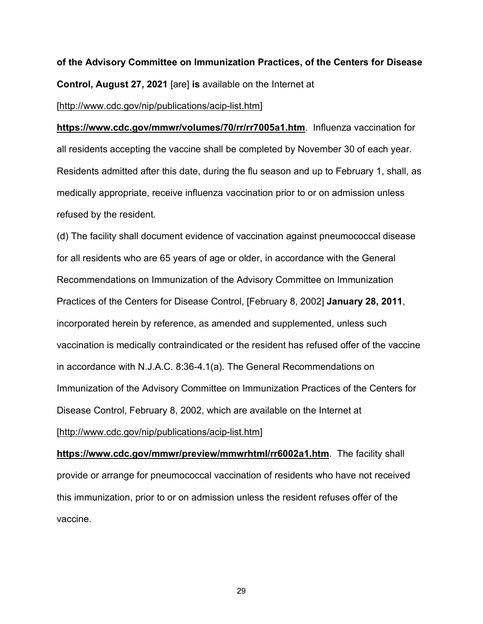# **of the Advisory Committee on Immunization Practices, of the Centers for Disease Control, August 27, 2021** [are] **is** available on the Internet at

#### [\[http://www.cdc.gov/nip/publications/acip-list.htm\]](http://www.cdc.gov/nip/publications/acip-list.htm)

**https://www.cdc.gov/mmwr/volumes/70/rr/rr7005a1.htm**. Influenza vaccination for all residents accepting the vaccine shall be completed by November 30 of each year. Residents admitted after this date, during the flu season and up to February 1, shall, as medically appropriate, receive influenza vaccination prior to or on admission unless refused by the resident.

(d) The facility shall document evidence of vaccination against pneumococcal disease for all residents who are 65 years of age or older, in accordance with the General Recommendations on Immunization of the Advisory Committee on Immunization Practices of the Centers for Disease Control, [February 8, 2002] **January 28, 2011**, incorporated herein by reference, as amended and supplemented, unless such vaccination is medically contraindicated or the resident has refused offer of the vaccine in accordance with N.J.A.C. [8:36-4.1\(a\).](https://advance.lexis.com/document/documentlink/?pdmfid=1000516&crid=e7de0aaf-dc01-4f8b-b4d6-3879c772a8a2&action=linkdoc&pdcomponentid=&pddocfullpath=%2Fshared%2Fdocument%2Fadministrative-codes%2Furn%3AcontentItem%3A5XKV-PW31-JG59-22D2-00009-00&pdtocnodeidentifier=AALACKAATAAC&ecomp=w59nk&prid=fe38eefc-9219-4f17-b4fe-f343d1cc97c3) The General Recommendations on Immunization of the Advisory Committee on Immunization Practices of the Centers for Disease Control, February 8, 2002, which are available on the Internet at

## [\[http://www.cdc.gov/nip/publications/acip-list.htm\]](http://www.cdc.gov/nip/publications/acip-list.htm)

**https://www.cdc.gov/mmwr/preview/mmwrhtml/rr6002a1.htm**. The facility shall provide or arrange for pneumococcal vaccination of residents who have not received this immunization, prior to or on admission unless the resident refuses offer of the vaccine.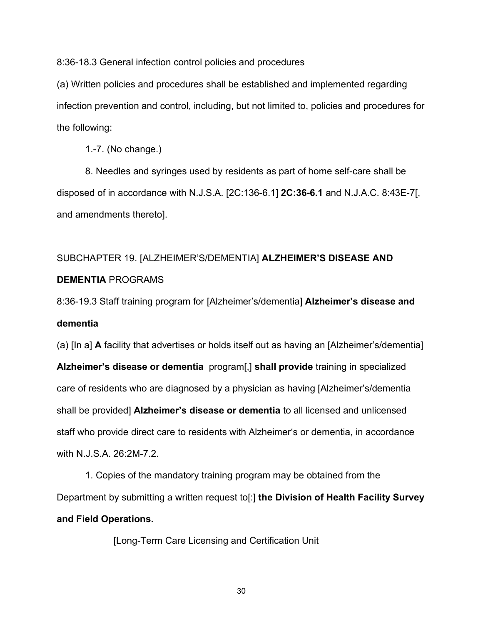8:36-18.3 General infection control policies and procedures

(a) Written policies and procedures shall be established and implemented regarding infection prevention and control, including, but not limited to, policies and procedures for the following:

1.-7. (No change.)

8. Needles and syringes used by residents as part of home self-care shall be disposed of in accordance with N.J.S.A. [2C:136-6.1] **2C:36-6.1** and N.J.A.C. 8:43E-7[, and amendments thereto].

## SUBCHAPTER 19. [ALZHEIMER'S/DEMENTIA] **ALZHEIMER'S DISEASE AND DEMENTIA** PROGRAMS

8:36-19.3 Staff training program for [Alzheimer's/dementia] **Alzheimer's disease and dementia**

(a) [In a] **A** facility that advertises or holds itself out as having an [Alzheimer's/dementia] **Alzheimer's disease or dementia** program[,] **shall provide** training in specialized care of residents who are diagnosed by a physician as having [Alzheimer's/dementia shall be provided] **Alzheimer's disease or dementia** to all licensed and unlicensed staff who provide direct care to residents with Alzheimer's or dementia, in accordance with N.J.S.A. [26:2M-7.2.](https://advance.lexis.com/document/documentlink/?pdmfid=1000516&crid=8fb270a9-672a-4e4c-8563-6f609ad28630&action=linkdoc&pdcomponentid=&pddocfullpath=%2Fshared%2Fdocument%2Fadministrative-codes%2Furn%3AcontentItem%3A5XKV-PWD1-JTGH-B3DV-00009-00&pdtocnodeidentifier=AALACKAAUAAD&ecomp=w59nk&prid=b71777fe-236e-4161-ac52-a715cd4dffaa)

1. Copies of the mandatory training program may be obtained from the Department by submitting a written request to[:] **the Division of Health Facility Survey and Field Operations.**

[Long-Term Care Licensing and Certification Unit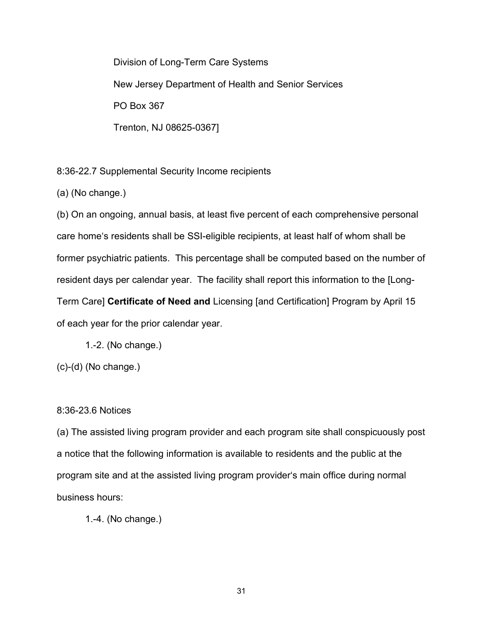Division of Long-Term Care Systems New Jersey Department of Health and Senior Services PO Box 367 Trenton, NJ 08625-0367]

8:36-22.7 Supplemental Security Income recipients

(a) (No change.)

(b) On an ongoing, annual basis, at least five percent of each comprehensive personal care home's residents shall be SSI-eligible recipients, at least half of whom shall be former psychiatric patients. This percentage shall be computed based on the number of resident days per calendar year. The facility shall report this information to the [Long-Term Care] **Certificate of Need and** Licensing [and Certification] Program by April 15 of each year for the prior calendar year.

1.-2. (No change.)

(c)-(d) (No change.)

#### 8:36-23.6 Notices

(a) The assisted living program provider and each program site shall conspicuously post a notice that the following information is available to residents and the public at the program site and at the assisted living program provider's main office during normal business hours:

1.-4. (No change.)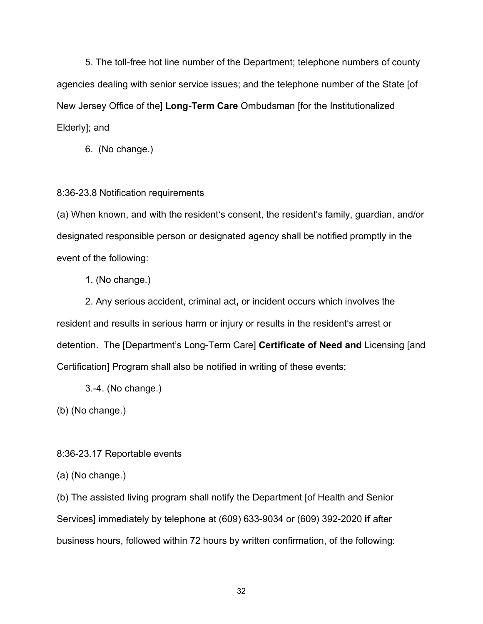5. The toll-free hot line number of the Department; telephone numbers of county agencies dealing with senior service issues; and the telephone number of the State [of New Jersey Office of the] **Long-Term Care** Ombudsman [for the Institutionalized Elderly]; and

6. (No change.)

#### 8:36-23.8 Notification requirements

(a) When known, and with the resident's consent, the resident's family, guardian, and/or designated responsible person or designated agency shall be notified promptly in the event of the following:

1. (No change.)

2. Any serious accident, criminal act**,** or incident occurs which involves the resident and results in serious harm or injury or results in the resident's arrest or detention. The [Department's Long-Term Care] **Certificate of Need and** Licensing [and Certification] Program shall also be notified in writing of these events;

3.-4. (No change.)

(b) (No change.)

8:36-23.17 Reportable events

(a) (No change.)

(b) The assisted living program shall notify the Department [of Health and Senior Services] immediately by telephone at (609) 633-9034 or (609) 392-2020 **if** after business hours, followed within 72 hours by written confirmation, of the following: